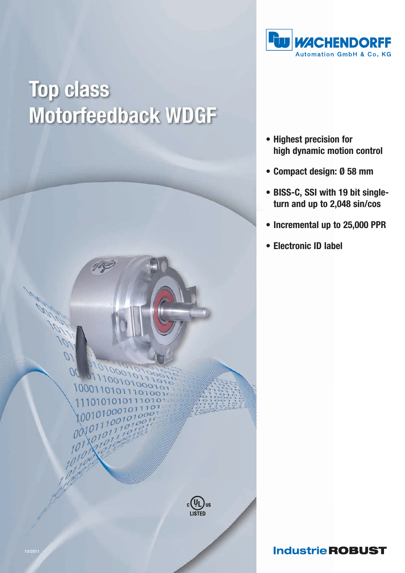

## **Top class** Motorfeedback WDGF



- Highest precision for high dynamic motion control
- Compact design: Ø 58 mm
- BISS-C, SSI with 19 bit single turn and up to 2,048 sin/cos
- Incremental up to 25,000 PPR
- Electronic ID label

## **Industrie ROBUST**